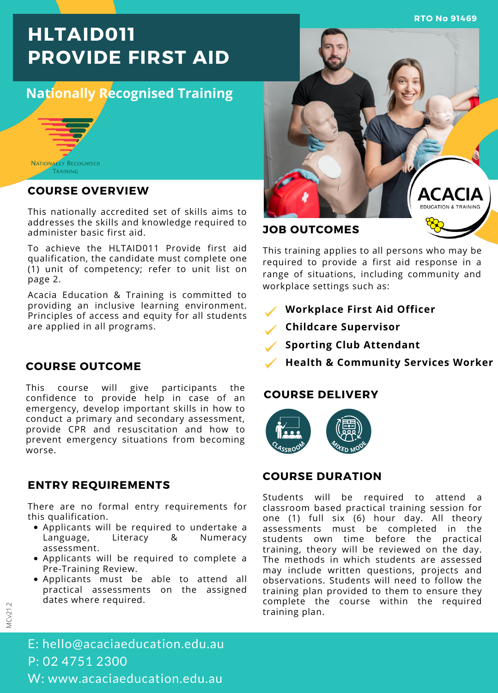**RTO No 91469**

# **HLTAID011 PROVIDE FIRST AID**

# **Nationally Recognised Training**



#### **COURSE OVERVIEW**

This nationally accredited set of skills aims to addresses the skills and knowledge required to administer basic first aid.

To achieve the HLTAID011 Provide first aid qualification, the candidate must complete one (1) unit of competency; refer to unit list on page 2.

Acacia Education & Training is committed to providing an inclusive learning environment. Principles of access and equity for all students are applied in all programs.

#### **COURSE OUTCOME**

This course will give participants the confidence to provide help in case of an emergency, develop important skills in how to conduct a primary and secondary assessment, provide CPR and resuscitation and how to prevent emergency situations from becoming worse.

## **ENTRY REQUIREMENTS**

There are no formal entry requirements for this qualification.

- Applicants will be required to undertake a Language, Literacy & Numeracy assessment.
- Applicants will be required to complete a Pre-Training Review.
- Applicants must be able to attend all practical assessments on the assigned dates where required.



### **JOB OUTCOMES**

This training applies to all persons who may be required to provide a first aid response in a range of situations, including community and workplace settings such as:

- **Workplace First Aid Officer**
- **Childcare Supervisor**
- **Sporting Club Attendant**
- **Health & Community Services Worker**

#### **COURSE DELIVERY**



#### **COURSE DURATION**

Students will be required to attend classroom based practical training session for one (1) full six (6) hour day. All theory assessments must be completed in the students own time before the practical training, theory will be reviewed on the day. The methods in which students are assessed may include written questions, projects and observations. Students will need to follow the training plan provided to them to ensure they complete the course within the required training plan.

E: hello@acaciaeducation.edu.au P: 02 4751 2300 W: www.acaciaeducation.edu.au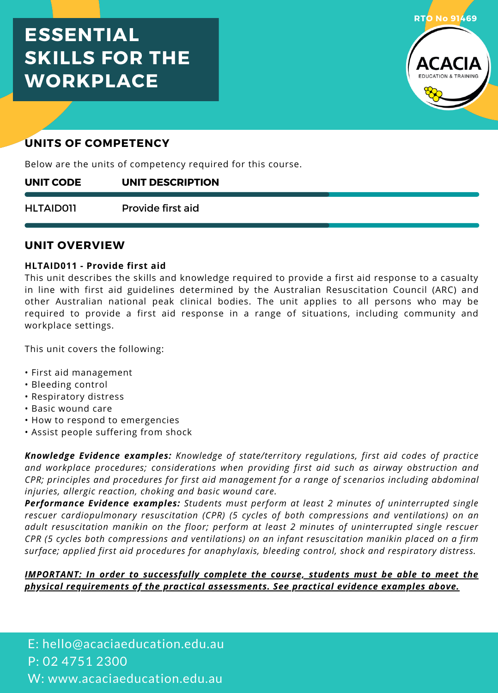# **ESSENTIAL SKILLS FOR THE WORKPLACE**



# **UNITS OF COMPETENCY**

Below are the units of competency required for this course.

#### **UNIT DESCRIPTION UNIT CODE**

Provide first aid HLTAID011

#### **UNIT OVERVIEW**

#### **HLTAID011 - Provide first aid**

This unit describes the skills and knowledge required to provide a first aid response to a casualty in line with first aid guidelines determined by the Australian Resuscitation Council (ARC) and other Australian national peak clinical bodies. The unit applies to all persons who may be required to provide a first aid response in a range of situations, including community and workplace settings.

This unit covers the following:

- First aid management
- Bleeding control
- Respiratory distress
- Basic wound care
- How to respond to emergencies
- Assist people suffering from shock

*Knowledge Evidence examples: Knowledge of state/territory regulations, first aid codes of practice and workplace procedures; considerations when providing first aid such as airway obstruction and CPR; principles and procedures for first aid management for a range of scenarios including abdominal injuries, allergic reaction, choking and basic wound care.*

*Performance Evidence examples: Students must perform at least 2 minutes of uninterrupted single rescuer cardiopulmonary resuscitation (CPR) (5 cycles of both compressions and ventilations) on an adult resuscitation manikin on the floor; perform at least 2 minutes of uninterrupted single rescuer CPR (5 cycles both compressions and ventilations) on an infant resuscitation manikin placed on a firm surface; applied first aid procedures for anaphylaxis, bleeding control, shock and respiratory distress.*

#### *IMPORTANT: In order to successfully complete the course, students must be able to meet the physical requirements of the practical assessments. See practical evidence examples above.*